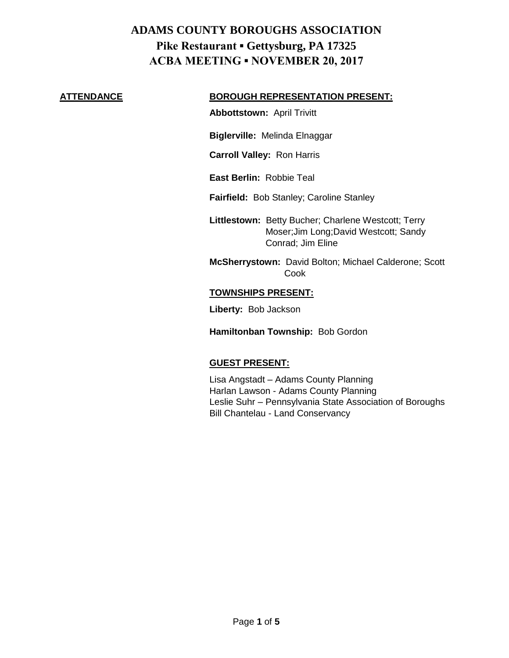#### **ATTENDANCE BOROUGH REPRESENTATION PRESENT:**

**Abbottstown:** April Trivitt

**Biglerville:** Melinda Elnaggar

**Carroll Valley:** Ron Harris

**East Berlin:** Robbie Teal

**Fairfield:** Bob Stanley; Caroline Stanley

**Littlestown:** Betty Bucher; Charlene Westcott; Terry Moser;Jim Long;David Westcott; Sandy Conrad; Jim Eline

**McSherrystown:** David Bolton; Michael Calderone; Scott Cook

#### **TOWNSHIPS PRESENT:**

**Liberty:** Bob Jackson

**Hamiltonban Township:** Bob Gordon

### **GUEST PRESENT:**

Lisa Angstadt – Adams County Planning Harlan Lawson - Adams County Planning Leslie Suhr – Pennsylvania State Association of Boroughs Bill Chantelau - Land Conservancy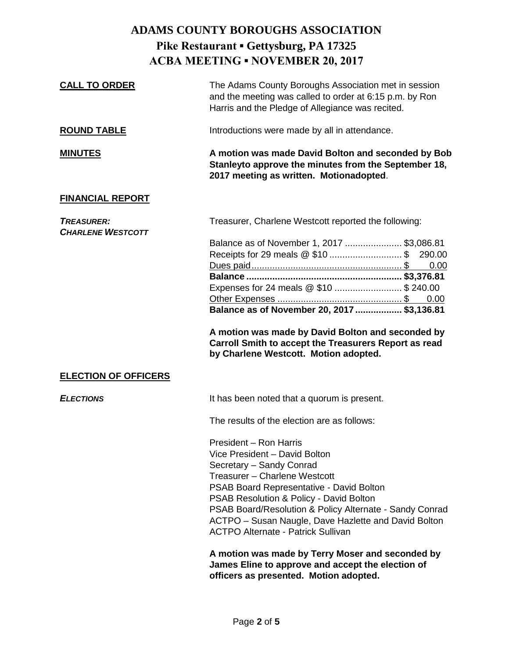| The Adams County Boroughs Association met in session<br>and the meeting was called to order at 6:15 p.m. by Ron<br>Harris and the Pledge of Allegiance was recited.                                                                                                                                                                                                                                                                                                                                                                                                                                                          |
|------------------------------------------------------------------------------------------------------------------------------------------------------------------------------------------------------------------------------------------------------------------------------------------------------------------------------------------------------------------------------------------------------------------------------------------------------------------------------------------------------------------------------------------------------------------------------------------------------------------------------|
| Introductions were made by all in attendance.                                                                                                                                                                                                                                                                                                                                                                                                                                                                                                                                                                                |
| A motion was made David Bolton and seconded by Bob<br>Stanleyto approve the minutes from the September 18,<br>2017 meeting as written. Motionadopted.                                                                                                                                                                                                                                                                                                                                                                                                                                                                        |
|                                                                                                                                                                                                                                                                                                                                                                                                                                                                                                                                                                                                                              |
| Treasurer, Charlene Westcott reported the following:<br>Balance as of November 1, 2017  \$3,086.81<br>Receipts for 29 meals @ \$10  \$ 290.00<br>0.00<br>Expenses for 24 meals @ \$10  \$ 240.00<br>Balance as of November 20, 2017  \$3,136.81<br>A motion was made by David Bolton and seconded by<br>Carroll Smith to accept the Treasurers Report as read<br>by Charlene Westcott. Motion adopted.                                                                                                                                                                                                                       |
|                                                                                                                                                                                                                                                                                                                                                                                                                                                                                                                                                                                                                              |
| It has been noted that a quorum is present.<br>The results of the election are as follows:<br>President - Ron Harris<br>Vice President - David Bolton<br>Secretary - Sandy Conrad<br>Treasurer - Charlene Westcott<br>PSAB Board Representative - David Bolton<br>PSAB Resolution & Policy - David Bolton<br>PSAB Board/Resolution & Policy Alternate - Sandy Conrad<br>ACTPO - Susan Naugle, Dave Hazlette and David Bolton<br><b>ACTPO Alternate - Patrick Sullivan</b><br>A motion was made by Terry Moser and seconded by<br>James Eline to approve and accept the election of<br>officers as presented. Motion adopted. |
|                                                                                                                                                                                                                                                                                                                                                                                                                                                                                                                                                                                                                              |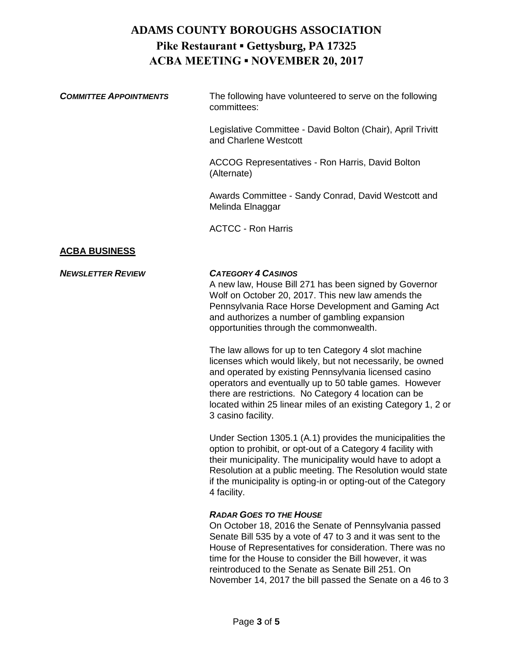| <b>COMMITTEE APPOINTMENTS</b> | The following have volunteered to serve on the following<br>committees:              |
|-------------------------------|--------------------------------------------------------------------------------------|
|                               | Legislative Committee - David Bolton (Chair), April Trivitt<br>and Charlene Westcott |
|                               | ACCOG Representatives - Ron Harris, David Bolton<br>(Alternate)                      |
|                               | Awards Committee - Sandy Conrad, David Westcott and<br>Melinda Elnaggar              |

ACTCC - Ron Harris

## **ACBA BUSINESS**

### *NEWSLETTER REVIEW CATEGORY 4 CASINOS*

A new law, House Bill 271 has been signed by Governor Wolf on October 20, 2017. This new law amends the Pennsylvania Race Horse Development and Gaming Act and authorizes a number of gambling expansion opportunities through the commonwealth.

The law allows for up to ten Category 4 slot machine licenses which would likely, but not necessarily, be owned and operated by existing Pennsylvania licensed casino operators and eventually up to 50 table games. However there are restrictions. No Category 4 location can be located within 25 linear miles of an existing Category 1, 2 or 3 casino facility.

Under Section 1305.1 (A.1) provides the municipalities the option to prohibit, or opt-out of a Category 4 facility with their municipality. The municipality would have to adopt a Resolution at a public meeting. The Resolution would state if the municipality is opting-in or opting-out of the Category 4 facility.

### *RADAR GOES TO THE HOUSE*

On October 18, 2016 the Senate of Pennsylvania passed Senate Bill 535 by a vote of 47 to 3 and it was sent to the House of Representatives for consideration. There was no time for the House to consider the Bill however, it was reintroduced to the Senate as Senate Bill 251. On November 14, 2017 the bill passed the Senate on a 46 to 3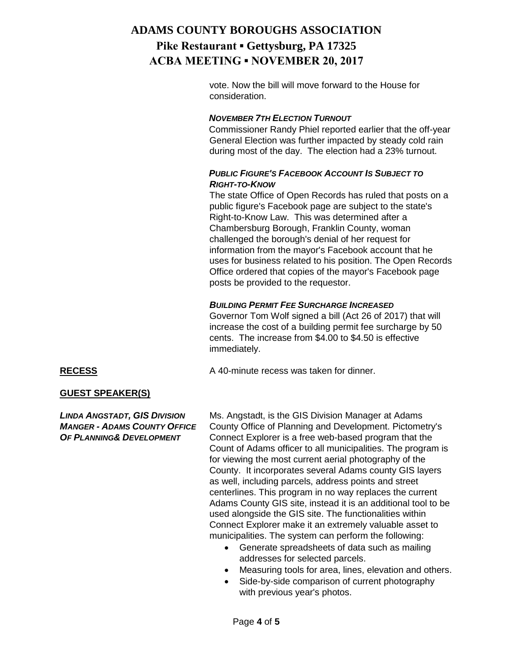vote. Now the bill will move forward to the House for consideration.

### *NOVEMBER 7TH ELECTION TURNOUT*

Commissioner Randy Phiel reported earlier that the off-year General Election was further impacted by steady cold rain during most of the day. The election had a 23% turnout.

## *PUBLIC FIGURE'S FACEBOOK ACCOUNT IS SUBJECT TO RIGHT-TO-KNOW*

The state Office of Open Records has ruled that posts on a public figure's Facebook page are subject to the state's Right-to-Know Law. This was determined after a Chambersburg Borough, Franklin County, woman challenged the borough's denial of her request for information from the mayor's Facebook account that he uses for business related to his position. The Open Records Office ordered that copies of the mayor's Facebook page posts be provided to the requestor.

### *BUILDING PERMIT FEE SURCHARGE INCREASED*

Governor Tom Wolf signed a bill (Act 26 of 2017) that will increase the cost of a building permit fee surcharge by 50 cents. The increase from \$4.00 to \$4.50 is effective immediately.

**RECESS** A 40-minute recess was taken for dinner.

### **GUEST SPEAKER(S)**

*LINDA ANGSTADT, GIS DIVISION* Ms. Angstadt, is the GIS Division Manager at Adams *MANGER - ADAMS COUNTY OFFICE* County Office of Planning and Development. Pictometry's *OF PLANNING& DEVELOPMENT* Connect Explorer is a free web-based program that the Count of Adams officer to all municipalities. The program is for viewing the most current aerial photography of the County. It incorporates several Adams county GIS layers as well, including parcels, address points and street centerlines. This program in no way replaces the current Adams County GIS site, instead it is an additional tool to be used alongside the GIS site. The functionalities within Connect Explorer make it an extremely valuable asset to municipalities. The system can perform the following:

- Generate spreadsheets of data such as mailing addresses for selected parcels.
- Measuring tools for area, lines, elevation and others.
- Side-by-side comparison of current photography with previous year's photos.